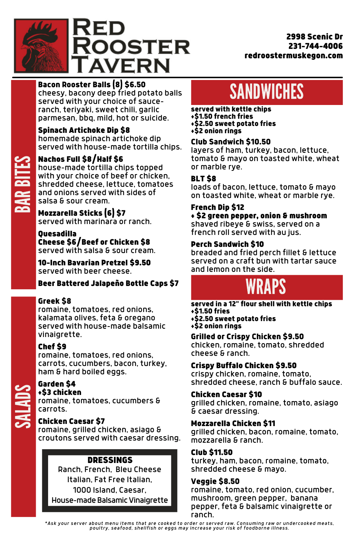# Bacon Rooster Balls (8) \$6.50

cheesy, bacony deep fried potato balls served with your choice of sauceranch, teriyaki, sweet chili, garlic parmesan, bbq, mild, hot or suicide.

# Nachos Full \$8/Half \$6

# Spinach Artichoke Dip \$8

 salsa & sour cream. shredded cheese, lettuce, tomatoes house-made tortilla chips topped with your choice of beef or chicken, and onions served with sides of

homemade spinach artichoke dip served with house-made tortilla chips.

**PA** ARpo <u>itas</u> E**S** 

#### Garden \$4 **\$3 chicken**

# **SANDWICHES**

Mozzarella Sticks (6) \$7 served with marinara or ranch.

Quesadilla Cheese \$6/Beef or Chicken \$8 served with salsa & sour cream.

10-Inch Bavarian Pretzel \$9.50 served with beer cheese.

# Beer Battered Jalapeño Bottle Caps \$7



# Greek \$8

romaine, tomatoes, red onions, kalamata olives, feta & oregano served with house-made balsamic vinaigrette.

> Ranch, French, Bleu Cheese Italian, Fat Free Italian, 1000 Island, Caesar, House-made Balsamic Vinaigrette

# Chef \$9

 carrots. romaine, tomatoes, cucumbers &

romaine, tomatoes, red onions, carrots, cucumbers, bacon, turkey, ham & hard boiled eggs.

 romaine, grilled chicken, asiago & croutons served with caesar dressing.

# Chicken Caesar \$7

served with kettle chips +\$1.50 french fries +\$2.50 sweet potato fries +\$2 onion rings

# Club Sandwich \$10.50

layers of ham, turkey, bacon, lettuce, tomato & mayo on toasted white, wheat or marble rye.

# BLT \$8

\*Ask your server about menu items that are cooked to order or served raw. Consuming raw or undercooked meats, *poultry, seafood, shellfish or eggs may increase your risk of foodborne illness.*

loads of bacon, lettuce, tomato & mayo on toasted white, wheat or marble rye.

# French Dip \$12

+ \$2 green pepper, onion & mushroom

shaved ribeye & swiss, served on a french roll served with au jus.

# Perch Sandwich \$10

breaded and fried perch fillet & lettuce served on a craft bun with tartar sauce and lemon on the side.

# **WRAPS**

# DRESSINGS

served in a 12" flour shell with kettle chips +\$1.50 fries

+\$2.50 sweet potato fries

+\$2 onion rings

# Grilled or Crispy Chicken \$9.50

chicken, romaine, tomato, shredded cheese & ranch.

# Crispy Buffalo Chicken \$9.50

crispy chicken, romaine, tomato, shredded cheese, ranch & buffalo sauce.

# Chicken Caesar \$10

grilled chicken, romaine, tomato, asiago & caesar dressing.

# Mozzarella Chicken \$11

grilled chicken, bacon, romaine, tomato, mozzarella & ranch.

# Club \$11.50

turkey, ham, bacon, romaine, tomato, shredded cheese & mayo.

### Veggie \$8.50

romaine, tomato, red onion, cucumber, mushroom, green pepper, banana pepper, feta & balsamic vinaigrette or ranch.



2998 Scenic Dr 231-744-4006 redroostermuskegon.com